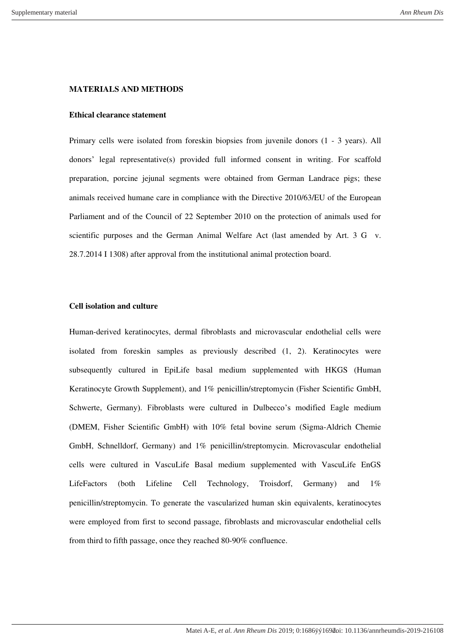## **MATERIALS AND METHODS**

## **Ethical clearance statement**

Primary cells were isolated from foreskin biopsies from juvenile donors (1 - 3 years). All donors' legal representative(s) provided full informed consent in writing. For scaffold preparation, porcine jejunal segments were obtained from German Landrace pigs; these animals received humane care in compliance with the Directive 2010/63/EU of the European Parliament and of the Council of 22 September 2010 on the protection of animals used for scientific purposes and the German Animal Welfare Act (last amended by Art. 3 G v. 28.7.2014 I 1308) after approval from the institutional animal protection board.

## **Cell isolation and culture**

Human-derived keratinocytes, dermal fibroblasts and microvascular endothelial cells were isolated from foreskin samples as previously described (1, 2). Keratinocytes were subsequently cultured in EpiLife basal medium supplemented with HKGS (Human Keratinocyte Growth Supplement), and 1% penicillin/streptomycin (Fisher Scientific GmbH, Schwerte, Germany). Fibroblasts were cultured in Dulbecco's modified Eagle medium (DMEM, Fisher Scientific GmbH) with 10% fetal bovine serum (Sigma-Aldrich Chemie GmbH, Schnelldorf, Germany) and 1% penicillin/streptomycin. Microvascular endothelial cells were cultured in VascuLife Basal medium supplemented with VascuLife EnGS LifeFactors (both Lifeline Cell Technology, Troisdorf, Germany) and 1% penicillin/streptomycin. To generate the vascularized human skin equivalents, keratinocytes were employed from first to second passage, fibroblasts and microvascular endothelial cells from third to fifth passage, once they reached 80-90% confluence.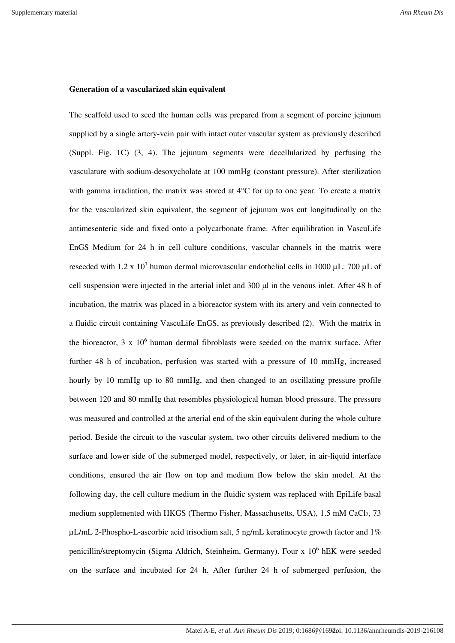#### **Generation of a vascularized skin equivalent**

The scaffold used to seed the human cells was prepared from a segment of porcine jejunum supplied by a single artery-vein pair with intact outer vascular system as previously described (Suppl. Fig. 1C) (3, 4). The jejunum segments were decellularized by perfusing the vasculature with sodium-desoxycholate at 100 mmHg (constant pressure). After sterilization with gamma irradiation, the matrix was stored at 4°C for up to one year. To create a matrix for the vascularized skin equivalent, the segment of jejunum was cut longitudinally on the antimesenteric side and fixed onto a polycarbonate frame. After equilibration in VascuLife EnGS Medium for 24 h in cell culture conditions, vascular channels in the matrix were reseeded with 1.2 x 10<sup>7</sup> human dermal microvascular endothelial cells in 1000  $\mu$ L: 700  $\mu$ L of cell suspension were injected in the arterial inlet and 300 μl in the venous inlet. After 48 h of incubation, the matrix was placed in a bioreactor system with its artery and vein connected to a fluidic circuit containing VascuLife EnGS, as previously described (2). With the matrix in the bioreactor,  $3 \times 10^6$  human dermal fibroblasts were seeded on the matrix surface. After further 48 h of incubation, perfusion was started with a pressure of 10 mmHg, increased hourly by 10 mmHg up to 80 mmHg, and then changed to an oscillating pressure profile between 120 and 80 mmHg that resembles physiological human blood pressure. The pressure was measured and controlled at the arterial end of the skin equivalent during the whole culture period. Beside the circuit to the vascular system, two other circuits delivered medium to the surface and lower side of the submerged model, respectively, or later, in air-liquid interface conditions, ensured the air flow on top and medium flow below the skin model. At the following day, the cell culture medium in the fluidic system was replaced with EpiLife basal medium supplemented with HKGS (Thermo Fisher, Massachusetts, USA), 1.5 mM CaCl<sub>2</sub>, 73  $\mu$ L/mL 2-Phospho-L-ascorbic acid trisodium salt, 5 ng/mL keratinocyte growth factor and 1% penicillin/streptomycin (Sigma Aldrich, Steinheim, Germany). Four x 10<sup>6</sup> hEK were seeded on the surface and incubated for 24 h. After further 24 h of submerged perfusion, the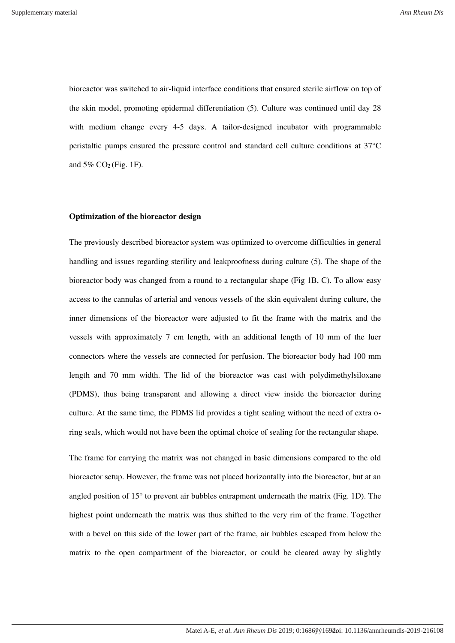bioreactor was switched to air-liquid interface conditions that ensured sterile airflow on top of the skin model, promoting epidermal differentiation (5). Culture was continued until day 28 with medium change every 4-5 days. A tailor-designed incubator with programmable peristaltic pumps ensured the pressure control and standard cell culture conditions at 37°C and  $5\%$  CO<sub>2</sub> (Fig. 1F).

## **Optimization of the bioreactor design**

The previously described bioreactor system was optimized to overcome difficulties in general handling and issues regarding sterility and leakproofness during culture (5). The shape of the bioreactor body was changed from a round to a rectangular shape (Fig 1B, C). To allow easy access to the cannulas of arterial and venous vessels of the skin equivalent during culture, the inner dimensions of the bioreactor were adjusted to fit the frame with the matrix and the vessels with approximately 7 cm length, with an additional length of 10 mm of the luer connectors where the vessels are connected for perfusion. The bioreactor body had 100 mm length and 70 mm width. The lid of the bioreactor was cast with polydimethylsiloxane (PDMS), thus being transparent and allowing a direct view inside the bioreactor during culture. At the same time, the PDMS lid provides a tight sealing without the need of extra oring seals, which would not have been the optimal choice of sealing for the rectangular shape.

The frame for carrying the matrix was not changed in basic dimensions compared to the old bioreactor setup. However, the frame was not placed horizontally into the bioreactor, but at an angled position of 15° to prevent air bubbles entrapment underneath the matrix (Fig. 1D). The highest point underneath the matrix was thus shifted to the very rim of the frame. Together with a bevel on this side of the lower part of the frame, air bubbles escaped from below the matrix to the open compartment of the bioreactor, or could be cleared away by slightly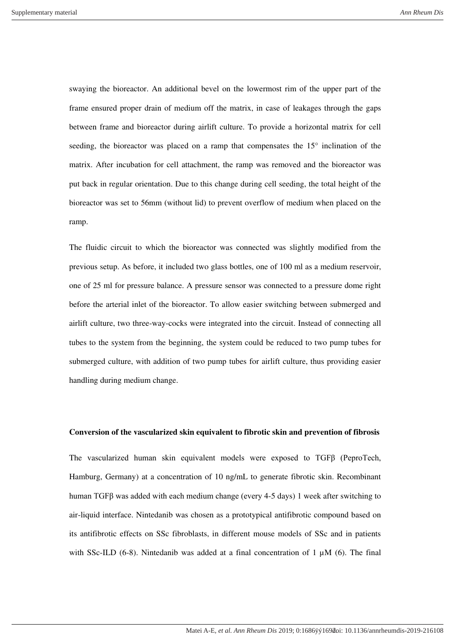swaying the bioreactor. An additional bevel on the lowermost rim of the upper part of the frame ensured proper drain of medium off the matrix, in case of leakages through the gaps between frame and bioreactor during airlift culture. To provide a horizontal matrix for cell seeding, the bioreactor was placed on a ramp that compensates the 15° inclination of the matrix. After incubation for cell attachment, the ramp was removed and the bioreactor was put back in regular orientation. Due to this change during cell seeding, the total height of the bioreactor was set to 56mm (without lid) to prevent overflow of medium when placed on the ramp.

The fluidic circuit to which the bioreactor was connected was slightly modified from the previous setup. As before, it included two glass bottles, one of 100 ml as a medium reservoir, one of 25 ml for pressure balance. A pressure sensor was connected to a pressure dome right before the arterial inlet of the bioreactor. To allow easier switching between submerged and airlift culture, two three-way-cocks were integrated into the circuit. Instead of connecting all tubes to the system from the beginning, the system could be reduced to two pump tubes for submerged culture, with addition of two pump tubes for airlift culture, thus providing easier handling during medium change.

## **Conversion of the vascularized skin equivalent to fibrotic skin and prevention of fibrosis**

The vascularized human skin equivalent models were exposed to TGFβ (PeproTech, Hamburg, Germany) at a concentration of 10 ng/mL to generate fibrotic skin. Recombinant human TGFβ was added with each medium change (every 4-5 days) 1 week after switching to air-liquid interface. Nintedanib was chosen as a prototypical antifibrotic compound based on its antifibrotic effects on SSc fibroblasts, in different mouse models of SSc and in patients with SSc-ILD (6-8). Nintedanib was added at a final concentration of 1  $\mu$ M (6). The final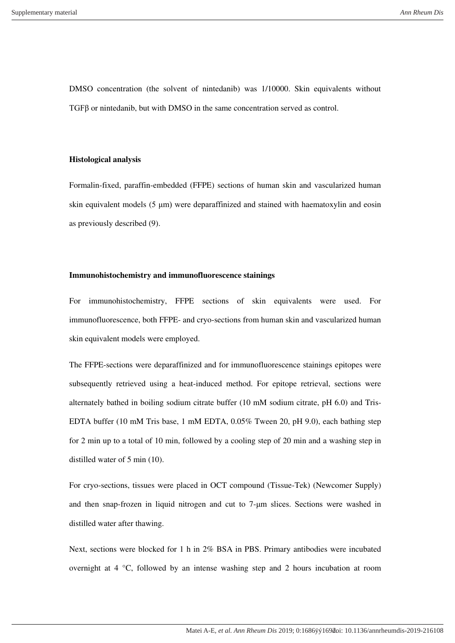DMSO concentration (the solvent of nintedanib) was 1/10000. Skin equivalents without TGFβ or nintedanib, but with DMSO in the same concentration served as control.

### **Histological analysis**

Formalin-fixed, paraffin-embedded (FFPE) sections of human skin and vascularized human skin equivalent models (5 μm) were deparaffinized and stained with haematoxylin and eosin as previously described (9).

## **Immunohistochemistry and immunofluorescence stainings**

For immunohistochemistry, FFPE sections of skin equivalents were used. For immunofluorescence, both FFPE- and cryo-sections from human skin and vascularized human skin equivalent models were employed.

The FFPE-sections were deparaffinized and for immunofluorescence stainings epitopes were subsequently retrieved using a heat-induced method. For epitope retrieval, sections were alternately bathed in boiling sodium citrate buffer (10 mM sodium citrate, pH 6.0) and Tris-EDTA buffer (10 mM Tris base, 1 mM EDTA, 0.05% Tween 20, pH 9.0), each bathing step for 2 min up to a total of 10 min, followed by a cooling step of 20 min and a washing step in distilled water of 5 min (10).

For cryo-sections, tissues were placed in OCT compound (Tissue-Tek) (Newcomer Supply) and then snap-frozen in liquid nitrogen and cut to 7-μm slices. Sections were washed in distilled water after thawing.

Next, sections were blocked for 1 h in 2% BSA in PBS. Primary antibodies were incubated overnight at 4 °C, followed by an intense washing step and 2 hours incubation at room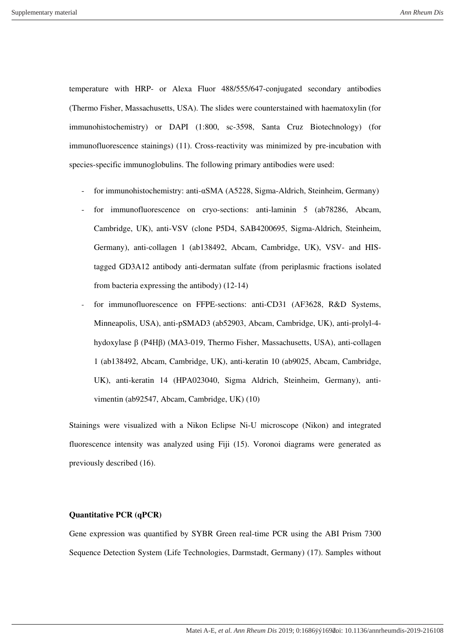temperature with HRP- or Alexa Fluor 488/555/647-conjugated secondary antibodies (Thermo Fisher, Massachusetts, USA). The slides were counterstained with haematoxylin (for immunohistochemistry) or DAPI (1:800, sc-3598, Santa Cruz Biotechnology) (for immunofluorescence stainings) (11). Cross-reactivity was minimized by pre-incubation with species-specific immunoglobulins. The following primary antibodies were used:

- for immunohistochemistry: anti-αSMA (A5228, Sigma-Aldrich, Steinheim, Germany)
- for immunofluorescence on cryo-sections: anti-laminin 5 (ab78286, Abcam, Cambridge, UK), anti-VSV (clone P5D4, SAB4200695, Sigma-Aldrich, Steinheim, Germany), anti-collagen 1 (ab138492, Abcam, Cambridge, UK), VSV- and HIStagged GD3A12 antibody anti-dermatan sulfate (from periplasmic fractions isolated from bacteria expressing the antibody) (12-14)
- for immunofluorescence on FFPE-sections: anti-CD31 (AF3628, R&D Systems, Minneapolis, USA), anti-pSMAD3 (ab52903, Abcam, Cambridge, UK), anti-prolyl-4 hydoxylase β (P4Hβ) (MA3-019, Thermo Fisher, Massachusetts, USA), anti-collagen 1 (ab138492, Abcam, Cambridge, UK), anti-keratin 10 (ab9025, Abcam, Cambridge, UK), anti-keratin 14 (HPA023040, Sigma Aldrich, Steinheim, Germany), antivimentin (ab92547, Abcam, Cambridge, UK) (10)

Stainings were visualized with a Nikon Eclipse Ni-U microscope (Nikon) and integrated fluorescence intensity was analyzed using Fiji (15). Voronoi diagrams were generated as previously described (16).

# **Quantitative PCR (qPCR)**

Gene expression was quantified by SYBR Green real-time PCR using the ABI Prism 7300 Sequence Detection System (Life Technologies, Darmstadt, Germany) (17). Samples without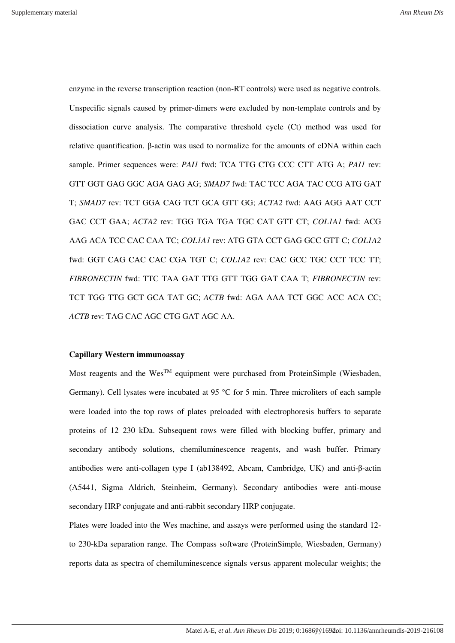enzyme in the reverse transcription reaction (non-RT controls) were used as negative controls. Unspecific signals caused by primer-dimers were excluded by non-template controls and by dissociation curve analysis. The comparative threshold cycle (Ct) method was used for relative quantification. β-actin was used to normalize for the amounts of cDNA within each sample. Primer sequences were: *PAI1* fwd: TCA TTG CTG CCC CTT ATG A; *PAI1* rev: GTT GGT GAG GGC AGA GAG AG; *SMAD7* fwd: TAC TCC AGA TAC CCG ATG GAT T; *SMAD7* rev: TCT GGA CAG TCT GCA GTT GG; *ACTA2* fwd: AAG AGG AAT CCT GAC CCT GAA; *ACTA2* rev: TGG TGA TGA TGC CAT GTT CT; *COL1A1* fwd: ACG AAG ACA TCC CAC CAA TC; *COL1A1* rev: ATG GTA CCT GAG GCC GTT C; *COL1A2*  fwd: GGT CAG CAC CAC CGA TGT C; *COL1A2* rev: CAC GCC TGC CCT TCC TT; *FIBRONECTIN* fwd: TTC TAA GAT TTG GTT TGG GAT CAA T; *FIBRONECTIN* rev: TCT TGG TTG GCT GCA TAT GC; *ACTB* fwd: AGA AAA TCT GGC ACC ACA CC; *ACTB* rev: TAG CAC AGC CTG GAT AGC AA.

## **Capillary Western immunoassay**

Most reagents and the Wes<sup>TM</sup> equipment were purchased from ProteinSimple (Wiesbaden, Germany). Cell lysates were incubated at 95 °C for 5 min. Three microliters of each sample were loaded into the top rows of plates preloaded with electrophoresis buffers to separate proteins of 12–230 kDa. Subsequent rows were filled with blocking buffer, primary and secondary antibody solutions, chemiluminescence reagents, and wash buffer. Primary antibodies were anti-collagen type I (ab138492, Abcam, Cambridge, UK) and anti-β-actin (A5441, Sigma Aldrich, Steinheim, Germany). Secondary antibodies were anti-mouse secondary HRP conjugate and anti-rabbit secondary HRP conjugate.

Plates were loaded into the Wes machine, and assays were performed using the standard 12 to 230-kDa separation range. The Compass software (ProteinSimple, Wiesbaden, Germany) reports data as spectra of chemiluminescence signals versus apparent molecular weights; the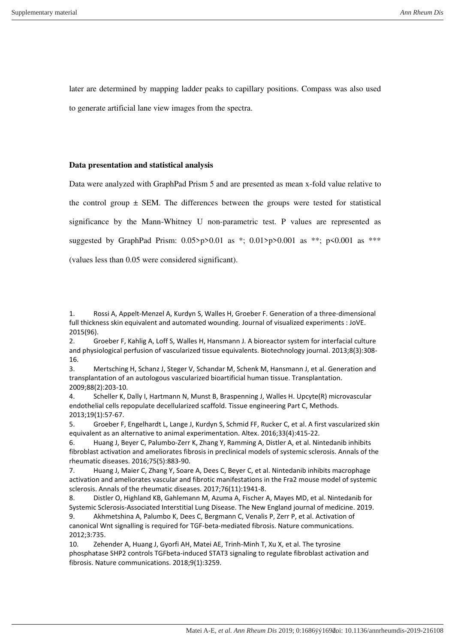later are determined by mapping ladder peaks to capillary positions. Compass was also used to generate artificial lane view images from the spectra.

## **Data presentation and statistical analysis**

Data were analyzed with GraphPad Prism 5 and are presented as mean x-fold value relative to the control group  $\pm$  SEM. The differences between the groups were tested for statistical significance by the Mann-Whitney U non-parametric test. P values are represented as suggested by GraphPad Prism:  $0.05$ >p> $0.01$  as \*;  $0.01$ >p> $0.001$  as \*\*; p<0.001 as \*\*\* (values less than 0.05 were considered significant).

2. Groeber F, Kahlig A, Loff S, Walles H, Hansmann J. A bioreactor system for interfacial culture and physiological perfusion of vascularized tissue equivalents. Biotechnology journal. 2013;8(3):308- 16.

3. Mertsching H, Schanz J, Steger V, Schandar M, Schenk M, Hansmann J, et al. Generation and transplantation of an autologous vascularized bioartificial human tissue. Transplantation. 2009;88(2):203-10.

4. Scheller K, Dally I, Hartmann N, Munst B, Braspenning J, Walles H. Upcyte(R) microvascular endothelial cells repopulate decellularized scaffold. Tissue engineering Part C, Methods. 2013;19(1):57-67.

5. Groeber F, Engelhardt L, Lange J, Kurdyn S, Schmid FF, Rucker C, et al. A first vascularized skin equivalent as an alternative to animal experimentation. Altex. 2016;33(4):415-22.

6. Huang J, Beyer C, Palumbo-Zerr K, Zhang Y, Ramming A, Distler A, et al. Nintedanib inhibits fibroblast activation and ameliorates fibrosis in preclinical models of systemic sclerosis. Annals of the rheumatic diseases. 2016;75(5):883-90.

7. Huang J, Maier C, Zhang Y, Soare A, Dees C, Beyer C, et al. Nintedanib inhibits macrophage activation and ameliorates vascular and fibrotic manifestations in the Fra2 mouse model of systemic sclerosis. Annals of the rheumatic diseases. 2017;76(11):1941-8.

8. Distler O, Highland KB, Gahlemann M, Azuma A, Fischer A, Mayes MD, et al. Nintedanib for Systemic Sclerosis-Associated Interstitial Lung Disease. The New England journal of medicine. 2019. 9. Akhmetshina A, Palumbo K, Dees C, Bergmann C, Venalis P, Zerr P, et al. Activation of canonical Wnt signalling is required for TGF-beta-mediated fibrosis. Nature communications.

2012;3:735.

10. Zehender A, Huang J, Gyorfi AH, Matei AE, Trinh-Minh T, Xu X, et al. The tyrosine phosphatase SHP2 controls TGFbeta-induced STAT3 signaling to regulate fibroblast activation and fibrosis. Nature communications. 2018;9(1):3259.

<sup>1.</sup> Rossi A, Appelt-Menzel A, Kurdyn S, Walles H, Groeber F. Generation of a three-dimensional full thickness skin equivalent and automated wounding. Journal of visualized experiments : JoVE. 2015(96).